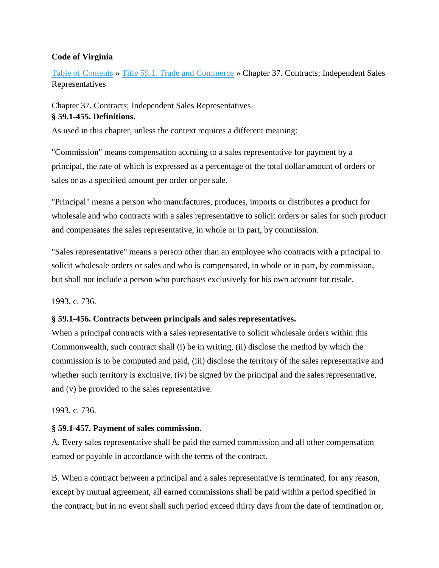#### **Code of Virginia**

Table of Contents » Title 59.1. Trade and Commerce » Chapter 37. Contracts; Independent Sales Representatives

Chapter 37. Contracts; Independent Sales Representatives. **§ 59.1-455. Definitions.**

As used in this chapter, unless the context requires a different meaning:

"Commission" means compensation accruing to a sales representative for payment by a principal, the rate of which is expressed as a percentage of the total dollar amount of orders or sales or as a specified amount per order or per sale.

"Principal" means a person who manufactures, produces, imports or distributes a product for wholesale and who contracts with a sales representative to solicit orders or sales for such product and compensates the sales representative, in whole or in part, by commission.

"Sales representative" means a person other than an employee who contracts with a principal to solicit wholesale orders or sales and who is compensated, in whole or in part, by commission, but shall not include a person who purchases exclusively for his own account for resale.

1993, c. 736.

# **§ 59.1-456. Contracts between principals and sales representatives.**

When a principal contracts with a sales representative to solicit wholesale orders within this Commonwealth, such contract shall (i) be in writing, (ii) disclose the method by which the commission is to be computed and paid, (iii) disclose the territory of the sales representative and whether such territory is exclusive, (iv) be signed by the principal and the sales representative, and (v) be provided to the sales representative.

1993, c. 736.

# **§ 59.1-457. Payment of sales commission.**

A. Every sales representative shall be paid the earned commission and all other compensation earned or payable in accordance with the terms of the contract.

B. When a contract between a principal and a sales representative is terminated, for any reason, except by mutual agreement, all earned commissions shall be paid within a period specified in the contract, but in no event shall such period exceed thirty days from the date of termination or,